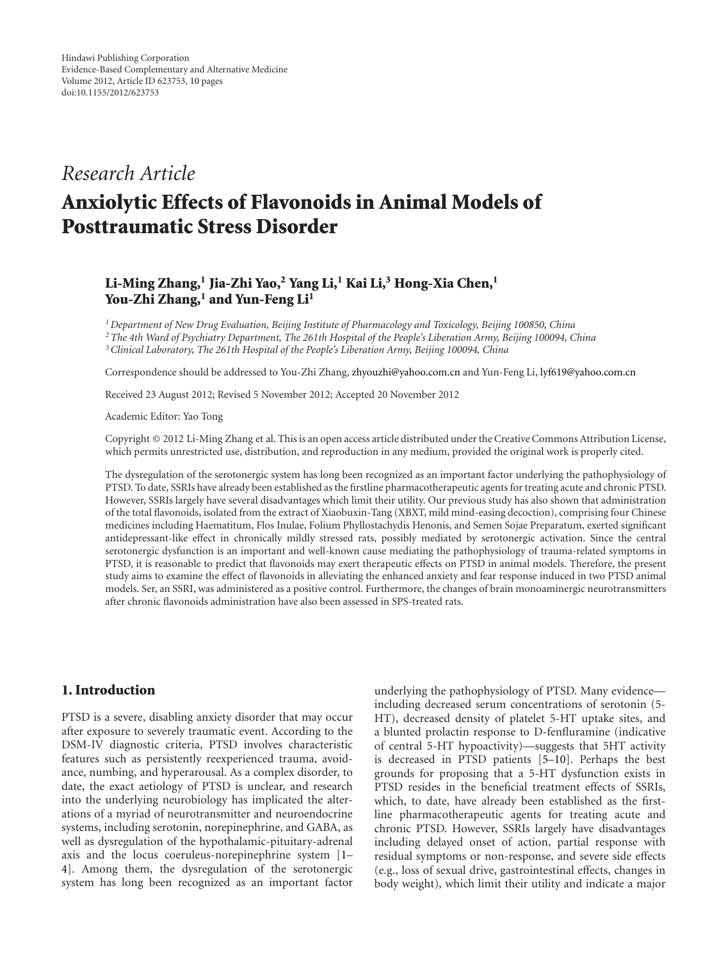## *Research Article*

# **Anxiolytic Effects of Flavonoids in Animal Models of Posttraumatic Stress Disorder**

## **Li-Ming Zhang,1 Jia-Zhi Yao,2 Yang Li,1 Kai Li,3 Hong-Xia Chen,1** You-Zhi Zhang,<sup>1</sup> and Yun-Feng Li<sup>1</sup>

*1Department of New Drug Evaluation, Beijing Institute of Pharmacology and Toxicology, Beijing 100850, China 2The 4th Ward of Psychiatry Department, The 261th Hospital of the People's Liberation Army, Beijing 100094, China 3Clinical Laboratory, The 261th Hospital of the People's Liberation Army, Beijing 100094, China*

Correspondence should be addressed to You-Zhi Zhang, [zhyouzhi@yahoo.com.cn](mailto:zhyouzhi@yahoo.com.cn) and Yun-Feng Li, [lyf619@yahoo.com.cn](mailto:lyf619@yahoo.com.cn)

Received 23 August 2012; Revised 5 November 2012; Accepted 20 November 2012

Academic Editor: Yao Tong

Copyright © 2012 Li-Ming Zhang et al. This is an open access article distributed under the Creative Commons Attribution License, which permits unrestricted use, distribution, and reproduction in any medium, provided the original work is properly cited.

The dysregulation of the serotonergic system has long been recognized as an important factor underlying the pathophysiology of PTSD. To date, SSRIs have already been established as the firstline pharmacotherapeutic agents for treating acute and chronic PTSD. However, SSRIs largely have several disadvantages which limit their utility. Our previous study has also shown that administration of the total flavonoids, isolated from the extract of Xiaobuxin-Tang (XBXT, mild mind-easing decoction), comprising four Chinese medicines including Haematitum, Flos Inulae, Folium Phyllostachydis Henonis, and Semen Sojae Preparatum, exerted significant antidepressant-like effect in chronically mildly stressed rats, possibly mediated by serotonergic activation. Since the central serotonergic dysfunction is an important and well-known cause mediating the pathophysiology of trauma-related symptoms in PTSD, it is reasonable to predict that flavonoids may exert therapeutic effects on PTSD in animal models. Therefore, the present study aims to examine the effect of flavonoids in alleviating the enhanced anxiety and fear response induced in two PTSD animal models. Ser, an SSRI, was administered as a positive control. Furthermore, the changes of brain monoaminergic neurotransmitters after chronic flavonoids administration have also been assessed in SPS-treated rats.

## **1. Introduction**

PTSD is a severe, disabling anxiety disorder that may occur after exposure to severely traumatic event. According to the DSM-IV diagnostic criteria, PTSD involves characteristic features such as persistently reexperienced trauma, avoidance, numbing, and hyperarousal. As a complex disorder, to date, the exact aetiology of PTSD is unclear, and research into the underlying neurobiology has implicated the alterations of a myriad of neurotransmitter and neuroendocrine systems, including serotonin, norepinephrine, and GABA, as well as dysregulation of the hypothalamic-pituitary-adrenal axis and the locus coeruleus-norepinephrine system [\[1–](#page-7-1) [4\]](#page-7-2). Among them, the dysregulation of the serotonergic system has long been recognized as an important factor

underlying the pathophysiology of PTSD. Many evidence including decreased serum concentrations of serotonin (5- HT), decreased density of platelet 5-HT uptake sites, and a blunted prolactin response to D-fenfluramine (indicative of central 5-HT hypoactivity)—suggests that 5HT activity is decreased in PTSD patients [\[5](#page-7-3)[–10\]](#page-8-0). Perhaps the best grounds for proposing that a 5-HT dysfunction exists in PTSD resides in the beneficial treatment effects of SSRIs, which, to date, have already been established as the firstline pharmacotherapeutic agents for treating acute and chronic PTSD. However, SSRIs largely have disadvantages including delayed onset of action, partial response with residual symptoms or non-response, and severe side effects (e.g., loss of sexual drive, gastrointestinal effects, changes in body weight), which limit their utility and indicate a major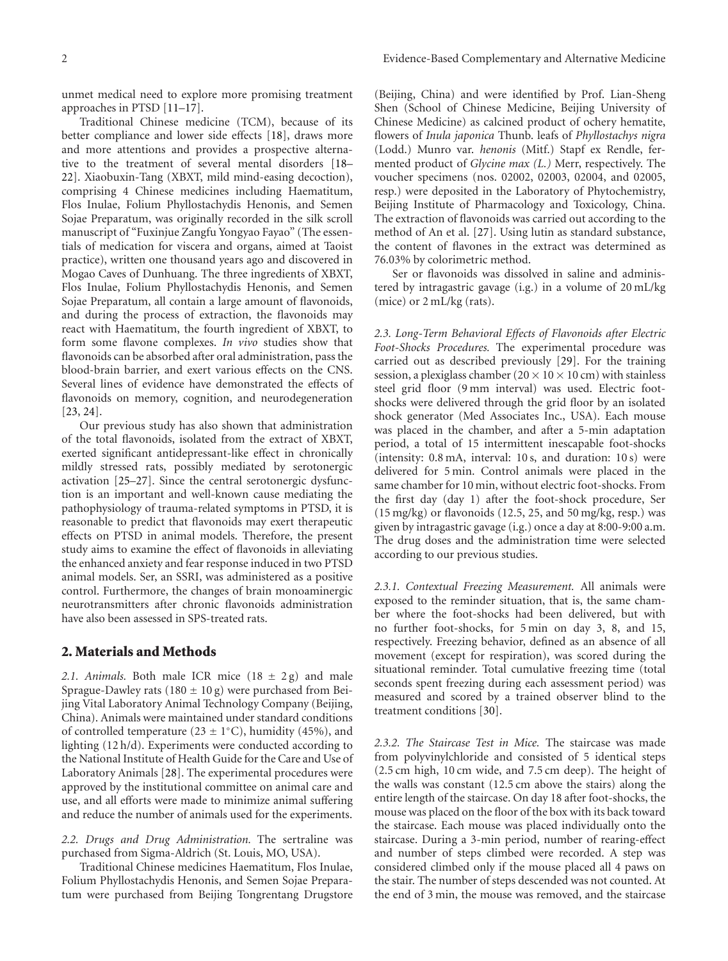unmet medical need to explore more promising treatment approaches in PTSD [\[11](#page-8-1)[–17](#page-8-2)].

Traditional Chinese medicine (TCM), because of its better compliance and lower side effects [\[18\]](#page-8-3), draws more and more attentions and provides a prospective alternative to the treatment of several mental disorders [\[18–](#page-8-3) [22](#page-8-4)]. Xiaobuxin-Tang (XBXT, mild mind-easing decoction), comprising 4 Chinese medicines including Haematitum, Flos Inulae, Folium Phyllostachydis Henonis, and Semen Sojae Preparatum, was originally recorded in the silk scroll manuscript of "Fuxinjue Zangfu Yongyao Fayao" (The essentials of medication for viscera and organs, aimed at Taoist practice), written one thousand years ago and discovered in Mogao Caves of Dunhuang. The three ingredients of XBXT, Flos Inulae, Folium Phyllostachydis Henonis, and Semen Sojae Preparatum, all contain a large amount of flavonoids, and during the process of extraction, the flavonoids may react with Haematitum, the fourth ingredient of XBXT, to form some flavone complexes. *In vivo* studies show that flavonoids can be absorbed after oral administration, pass the blood-brain barrier, and exert various effects on the CNS. Several lines of evidence have demonstrated the effects of flavonoids on memory, cognition, and neurodegeneration [\[23,](#page-8-5) [24](#page-8-6)].

Our previous study has also shown that administration of the total flavonoids, isolated from the extract of XBXT, exerted significant antidepressant-like effect in chronically mildly stressed rats, possibly mediated by serotonergic activation [\[25](#page-8-7)[–27\]](#page-8-8). Since the central serotonergic dysfunction is an important and well-known cause mediating the pathophysiology of trauma-related symptoms in PTSD, it is reasonable to predict that flavonoids may exert therapeutic effects on PTSD in animal models. Therefore, the present study aims to examine the effect of flavonoids in alleviating the enhanced anxiety and fear response induced in two PTSD animal models. Ser, an SSRI, was administered as a positive control. Furthermore, the changes of brain monoaminergic neurotransmitters after chronic flavonoids administration have also been assessed in SPS-treated rats.

#### **2. Materials and Methods**

2.1. Animals. Both male ICR mice  $(18 \pm 2g)$  and male Sprague-Dawley rats (180  $\pm$  10 g) were purchased from Beijing Vital Laboratory Animal Technology Company (Beijing, China). Animals were maintained under standard conditions of controlled temperature ( $23 \pm 1$ <sup>°</sup>C), humidity (45%), and lighting (12 h/d). Experiments were conducted according to the National Institute of Health Guide for the Care and Use of Laboratory Animals [\[28\]](#page-8-9). The experimental procedures were approved by the institutional committee on animal care and use, and all efforts were made to minimize animal suffering and reduce the number of animals used for the experiments.

*2.2. Drugs and Drug Administration.* The sertraline was purchased from Sigma-Aldrich (St. Louis, MO, USA).

Traditional Chinese medicines Haematitum, Flos Inulae, Folium Phyllostachydis Henonis, and Semen Sojae Preparatum were purchased from Beijing Tongrentang Drugstore

(Beijing, China) and were identified by Prof. Lian-Sheng Shen (School of Chinese Medicine, Beijing University of Chinese Medicine) as calcined product of ochery hematite, flowers of *Inula japonica* Thunb. leafs of *Phyllostachys nigra* (Lodd.) Munro var. *henonis* (Mitf.) Stapf ex Rendle, fermented product of *Glycine max (L.)* Merr, respectively. The voucher specimens (nos. 02002, 02003, 02004, and 02005, resp.) were deposited in the Laboratory of Phytochemistry, Beijing Institute of Pharmacology and Toxicology, China. The extraction of flavonoids was carried out according to the method of An et al. [\[27](#page-8-8)]. Using lutin as standard substance, the content of flavones in the extract was determined as 76.03% by colorimetric method.

Ser or flavonoids was dissolved in saline and administered by intragastric gavage (i.g.) in a volume of 20 mL/kg (mice) or 2 mL/kg (rats).

*2.3. Long-Term Behavioral Effects of Flavonoids after Electric Foot-Shocks Procedures.* The experimental procedure was carried out as described previously [\[29\]](#page-8-10). For the training session, a plexiglass chamber ( $20 \times 10 \times 10$  cm) with stainless steel grid floor (9 mm interval) was used. Electric footshocks were delivered through the grid floor by an isolated shock generator (Med Associates Inc., USA). Each mouse was placed in the chamber, and after a 5-min adaptation period, a total of 15 intermittent inescapable foot-shocks (intensity: 0.8 mA, interval: 10 s, and duration: 10 s) were delivered for 5 min. Control animals were placed in the same chamber for 10 min, without electric foot-shocks. From the first day (day 1) after the foot-shock procedure, Ser (15 mg/kg) or flavonoids (12.5, 25, and 50 mg/kg, resp.) was given by intragastric gavage (i.g.) once a day at 8:00-9:00 a.m. The drug doses and the administration time were selected according to our previous studies.

*2.3.1. Contextual Freezing Measurement.* All animals were exposed to the reminder situation, that is, the same chamber where the foot-shocks had been delivered, but with no further foot-shocks, for 5 min on day 3, 8, and 15, respectively. Freezing behavior, defined as an absence of all movement (except for respiration), was scored during the situational reminder. Total cumulative freezing time (total seconds spent freezing during each assessment period) was measured and scored by a trained observer blind to the treatment conditions [\[30](#page-8-11)].

*2.3.2. The Staircase Test in Mice.* The staircase was made from polyvinylchloride and consisted of 5 identical steps (2.5 cm high, 10 cm wide, and 7.5 cm deep). The height of the walls was constant (12.5 cm above the stairs) along the entire length of the staircase. On day 18 after foot-shocks, the mouse was placed on the floor of the box with its back toward the staircase. Each mouse was placed individually onto the staircase. During a 3-min period, number of rearing-effect and number of steps climbed were recorded. A step was considered climbed only if the mouse placed all 4 paws on the stair. The number of steps descended was not counted. At the end of 3 min, the mouse was removed, and the staircase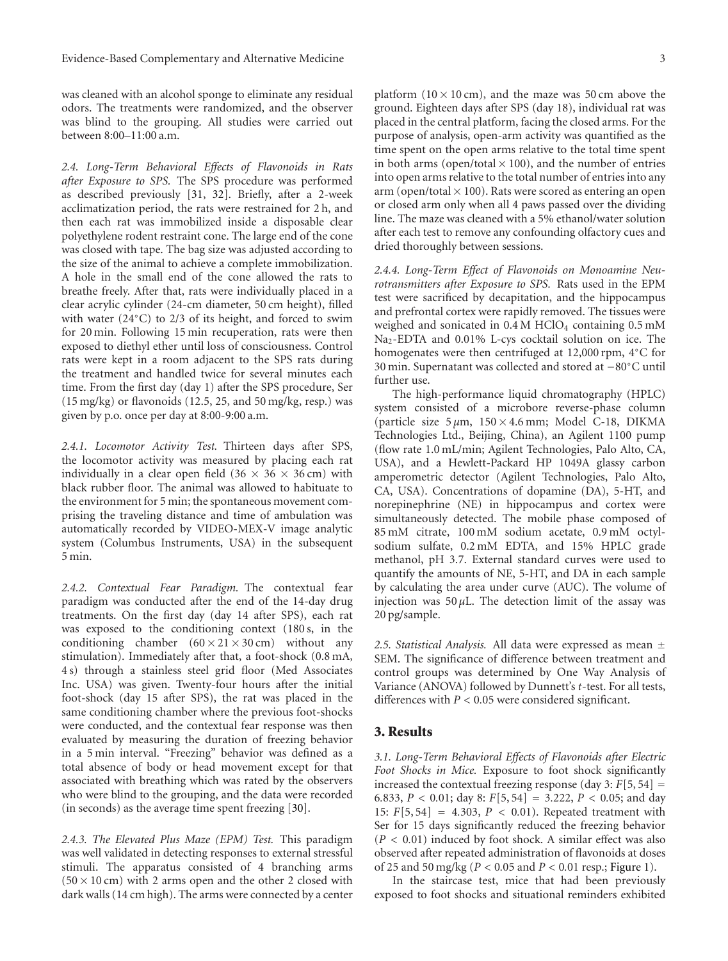was cleaned with an alcohol sponge to eliminate any residual odors. The treatments were randomized, and the observer was blind to the grouping. All studies were carried out between 8:00–11:00 a.m.

*2.4. Long-Term Behavioral Effects of Flavonoids in Rats after Exposure to SPS.* The SPS procedure was performed as described previously [\[31](#page-8-12), [32\]](#page-8-13). Briefly, after a 2-week acclimatization period, the rats were restrained for 2 h, and then each rat was immobilized inside a disposable clear polyethylene rodent restraint cone. The large end of the cone was closed with tape. The bag size was adjusted according to the size of the animal to achieve a complete immobilization. A hole in the small end of the cone allowed the rats to breathe freely. After that, rats were individually placed in a clear acrylic cylinder (24-cm diameter, 50 cm height), filled with water (24◦C) to 2/3 of its height, and forced to swim for 20 min. Following 15 min recuperation, rats were then exposed to diethyl ether until loss of consciousness. Control rats were kept in a room adjacent to the SPS rats during the treatment and handled twice for several minutes each time. From the first day (day 1) after the SPS procedure, Ser (15 mg/kg) or flavonoids (12.5, 25, and 50 mg/kg, resp.) was given by p.o. once per day at 8:00-9:00 a.m.

*2.4.1. Locomotor Activity Test.* Thirteen days after SPS, the locomotor activity was measured by placing each rat individually in a clear open field  $(36 \times 36 \times 36 \text{ cm})$  with black rubber floor. The animal was allowed to habituate to the environment for 5 min; the spontaneous movement comprising the traveling distance and time of ambulation was automatically recorded by VIDEO-MEX-V image analytic system (Columbus Instruments, USA) in the subsequent 5 min.

*2.4.2. Contextual Fear Paradigm.* The contextual fear paradigm was conducted after the end of the 14-day drug treatments. On the first day (day 14 after SPS), each rat was exposed to the conditioning context (180 s, in the conditioning chamber  $(60 \times 21 \times 30 \text{ cm})$  without any stimulation). Immediately after that, a foot-shock (0.8 mA, 4 s) through a stainless steel grid floor (Med Associates Inc. USA) was given. Twenty-four hours after the initial foot-shock (day 15 after SPS), the rat was placed in the same conditioning chamber where the previous foot-shocks were conducted, and the contextual fear response was then evaluated by measuring the duration of freezing behavior in a 5 min interval. "Freezing" behavior was defined as a total absence of body or head movement except for that associated with breathing which was rated by the observers who were blind to the grouping, and the data were recorded (in seconds) as the average time spent freezing [\[30](#page-8-11)].

*2.4.3. The Elevated Plus Maze (EPM) Test.* This paradigm was well validated in detecting responses to external stressful stimuli. The apparatus consisted of 4 branching arms  $(50 \times 10 \text{ cm})$  with 2 arms open and the other 2 closed with dark walls (14 cm high). The arms were connected by a center

platform  $(10 \times 10 \text{ cm})$ , and the maze was 50 cm above the ground. Eighteen days after SPS (day 18), individual rat was placed in the central platform, facing the closed arms. For the purpose of analysis, open-arm activity was quantified as the time spent on the open arms relative to the total time spent in both arms (open/total  $\times$  100), and the number of entries into open arms relative to the total number of entries into any arm (open/total  $\times$  100). Rats were scored as entering an open or closed arm only when all 4 paws passed over the dividing line. The maze was cleaned with a 5% ethanol/water solution after each test to remove any confounding olfactory cues and dried thoroughly between sessions.

*2.4.4. Long-Term Effect of Flavonoids on Monoamine Neurotransmitters after Exposure to SPS.* Rats used in the EPM test were sacrificed by decapitation, and the hippocampus and prefrontal cortex were rapidly removed. The tissues were weighed and sonicated in  $0.4 M$  HClO<sub>4</sub> containing  $0.5$  mM Na2-EDTA and 0.01% L-cys cocktail solution on ice. The homogenates were then centrifuged at 12,000 rpm, 4◦C for 30 min. Supernatant was collected and stored at −80◦C until further use.

The high-performance liquid chromatography (HPLC) system consisted of a microbore reverse-phase column (particle size  $5 \mu m$ ,  $150 \times 4.6$  mm; Model C-18, DIKMA Technologies Ltd., Beijing, China), an Agilent 1100 pump (flow rate 1.0 mL/min; Agilent Technologies, Palo Alto, CA, USA), and a Hewlett-Packard HP 1049A glassy carbon amperometric detector (Agilent Technologies, Palo Alto, CA, USA). Concentrations of dopamine (DA), 5-HT, and norepinephrine (NE) in hippocampus and cortex were simultaneously detected. The mobile phase composed of 85 mM citrate, 100 mM sodium acetate, 0.9 mM octylsodium sulfate, 0.2 mM EDTA, and 15% HPLC grade methanol, pH 3.7. External standard curves were used to quantify the amounts of NE, 5-HT, and DA in each sample by calculating the area under curve (AUC). The volume of injection was  $50 \mu L$ . The detection limit of the assay was 20 pg/sample.

*2.5. Statistical Analysis.* All data were expressed as mean ± SEM. The significance of difference between treatment and control groups was determined by One Way Analysis of Variance (ANOVA) followed by Dunnett's *t*-test. For all tests, differences with *P <* 0*.*05 were considered significant.

#### **3. Results**

*3.1. Long-Term Behavioral Effects of Flavonoids after Electric Foot Shocks in Mice.* Exposure to foot shock significantly increased the contextual freezing response (day  $3: F[5, 54] =$ <sup>6</sup>*.*833, *P <* <sup>0</sup>*.*01; day 8: *<sup>F</sup>*[5, 54] <sup>=</sup> <sup>3</sup>*.*222, *P <* <sup>0</sup>*.*05; and day 15: *<sup>F</sup>*[5, 54] <sup>=</sup> <sup>4</sup>*.*303, *P <* <sup>0</sup>*.*01). Repeated treatment with Ser for 15 days significantly reduced the freezing behavior (*P <* 0*.*01) induced by foot shock. A similar effect was also observed after repeated administration of flavonoids at doses of 25 and 50 mg/kg (*P <* 0*.*05 and *P <* 0*.*01 resp.; [Figure 1\)](#page-3-0).

In the staircase test, mice that had been previously exposed to foot shocks and situational reminders exhibited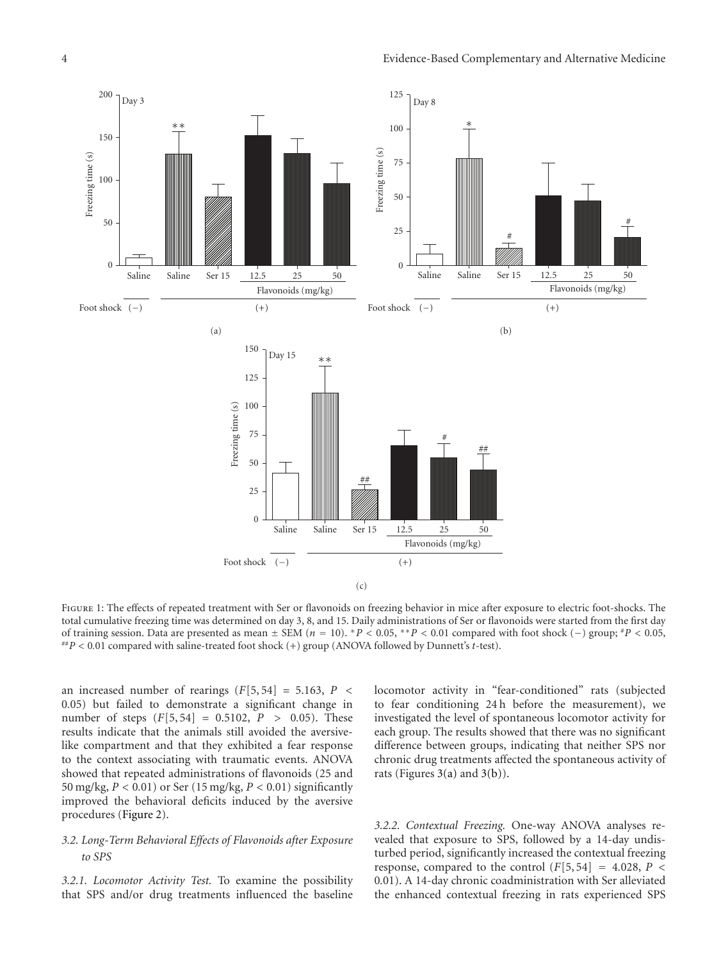

<span id="page-3-0"></span>Figure 1: The effects of repeated treatment with Ser or flavonoids on freezing behavior in mice after exposure to electric foot-shocks. The total cumulative freezing time was determined on day 3, 8, and 15. Daily administrations of Ser or flavonoids were started from the first day of training session. Data are presented as mean  $\pm$  SEM ( $n = 10$ ). \*P < 0.05, \*\*P < 0.01 compared with foot shock (-) group; \*P < 0.05, \*\*P < 0.01 compared with saline-treated foot shock (+) group (ANOVA followed by Dunn

an increased number of rearings  $(F[5, 54] = 5.163, P \leq$ 0*.*05) but failed to demonstrate a significant change in number of steps  $(F[5, 54] = 0.5102, P > 0.05)$ . These results indicate that the animals still avoided the aversivelike compartment and that they exhibited a fear response to the context associating with traumatic events. ANOVA showed that repeated administrations of flavonoids (25 and 50 mg/kg, *P <* 0*.*01) or Ser (15 mg/kg, *P <* 0*.*01) significantly improved the behavioral deficits induced by the aversive procedures [\(Figure 2\)](#page-4-0).

#### *3.2. Long-Term Behavioral Effects of Flavonoids after Exposure to SPS*

*3.2.1. Locomotor Activity Test.* To examine the possibility that SPS and/or drug treatments influenced the baseline locomotor activity in "fear-conditioned" rats (subjected to fear conditioning 24 h before the measurement), we investigated the level of spontaneous locomotor activity for each group. The results showed that there was no significant difference between groups, indicating that neither SPS nor chronic drug treatments affected the spontaneous activity of rats (Figures  $3(a)$  and  $3(b)$ ).

*3.2.2. Contextual Freezing.* One-way ANOVA analyses revealed that exposure to SPS, followed by a 14-day undisturbed period, significantly increased the contextual freezing response, compared to the control  $(F[5, 54] = 4.028, P <$ 0*.*01). A 14-day chronic coadministration with Ser alleviated the enhanced contextual freezing in rats experienced SPS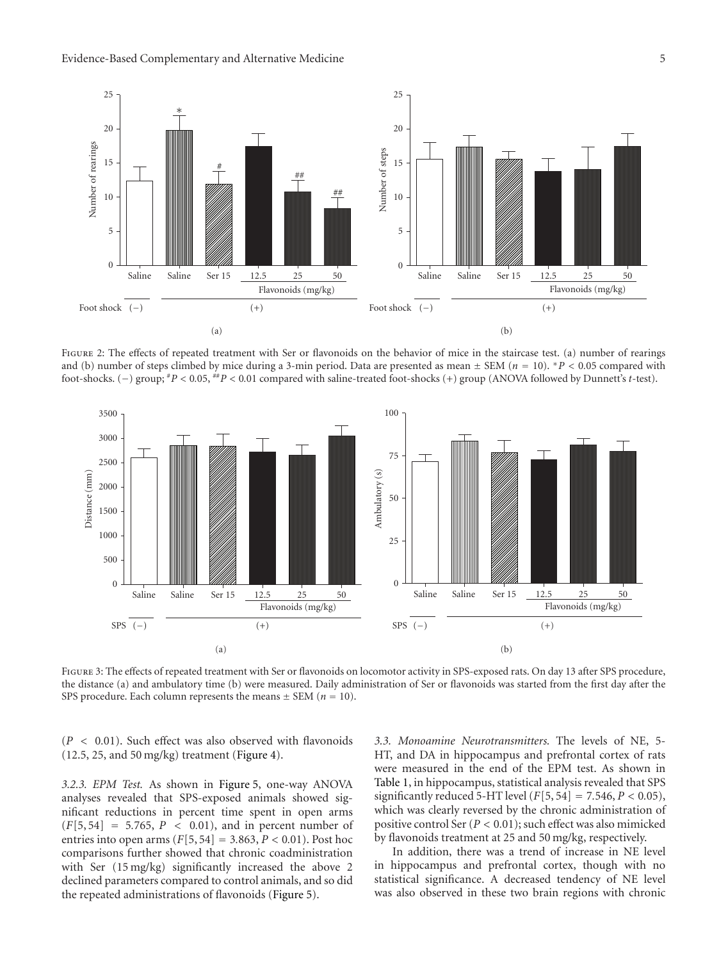

<span id="page-4-0"></span>FIGURE 2: The effects of repeated treatment with Ser or flavonoids on the behavior of mice in the staircase test. (a) number of rearings and (b) number of steps climbed by mice during a 3-min period. Data are presented as mean <sup>±</sup> SEM (*<sup>n</sup>* <sup>=</sup> 10). <sup>∗</sup>*P <* <sup>0</sup>*.*05 compared with foot-shocks. (−) group; #*P <* <sup>0</sup>*.*05, ##*P <* <sup>0</sup>*.*01 compared with saline-treated foot-shocks (+) group (ANOVA followed by Dunnett's *<sup>t</sup>*-test).

<span id="page-4-1"></span>

FIGURE 3: The effects of repeated treatment with Ser or flavonoids on locomotor activity in SPS-exposed rats. On day 13 after SPS procedure, the distance (a) and ambulatory time (b) were measured. Daily administration of Ser or flavonoids was started from the first day after the SPS procedure. Each column represents the means  $\pm$  SEM ( $n = 10$ ).

(*P <* 0*.*01). Such effect was also observed with flavonoids (12.5, 25, and 50 mg/kg) treatment [\(Figure 4\)](#page-5-0).

*3.2.3. EPM Test.* As shown in [Figure 5,](#page-5-1) one-way ANOVA analyses revealed that SPS-exposed animals showed significant reductions in percent time spent in open arms  $(F[5, 54] = 5.765, P < 0.01)$ , and in percent number of entries into open arms (*F*[5, 54] <sup>=</sup> <sup>3</sup>*.*863, *P <* <sup>0</sup>*.*01). Post hoc comparisons further showed that chronic coadministration with Ser (15 mg/kg) significantly increased the above 2 declined parameters compared to control animals, and so did the repeated administrations of flavonoids [\(Figure 5\)](#page-5-1).

<span id="page-4-2"></span>*3.3. Monoamine Neurotransmitters.* The levels of NE, 5- HT, and DA in hippocampus and prefrontal cortex of rats were measured in the end of the EPM test. As shown in [Table 1,](#page-6-0) in hippocampus, statistical analysis revealed that SPS significantly reduced 5-HT level  $(F[5, 54] = 7.546, P < 0.05)$ , which was clearly reversed by the chronic administration of positive control Ser (*P <* 0*.*01); such effect was also mimicked by flavonoids treatment at 25 and 50 mg/kg, respectively.

In addition, there was a trend of increase in NE level in hippocampus and prefrontal cortex, though with no statistical significance. A decreased tendency of NE level was also observed in these two brain regions with chronic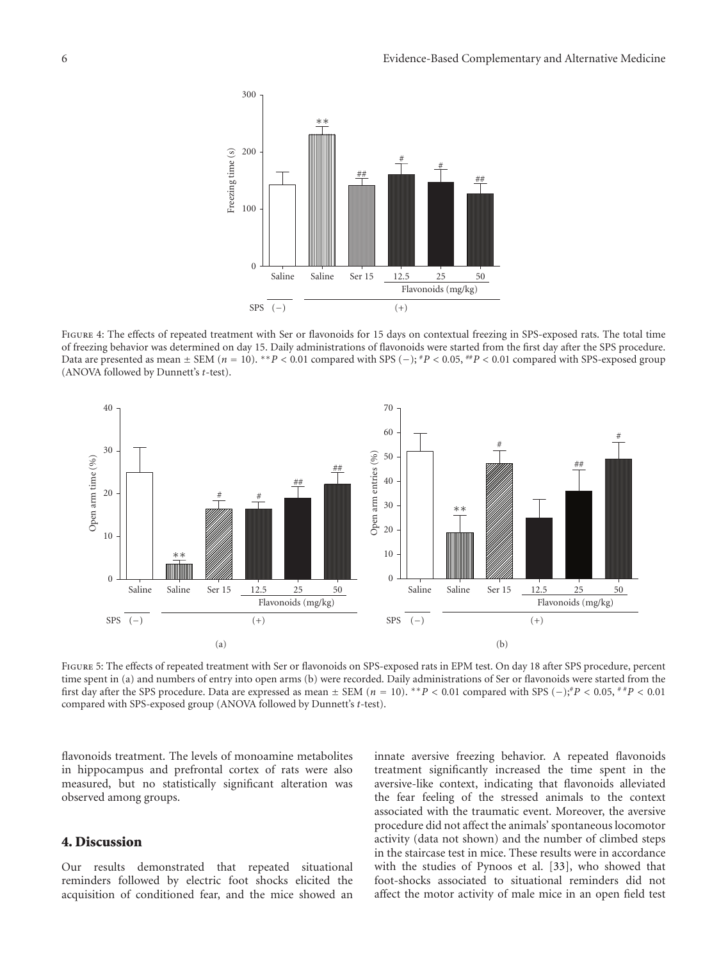

<span id="page-5-0"></span>Figure 4: The effects of repeated treatment with Ser or flavonoids for 15 days on contextual freezing in SPS-exposed rats. The total time of freezing behavior was determined on day 15. Daily administrations of flavonoids were started from the first day after the SPS procedure. Data are presented as mean <sup>±</sup> SEM (*<sup>n</sup>* <sup>=</sup> 10). ∗∗*P <* <sup>0</sup>*.*01 compared with SPS (−); #*P <* <sup>0</sup>*.*05, ##*P <* <sup>0</sup>*.*01 compared with SPS-exposed group (ANOVA followed by Dunnett's *t*-test).



<span id="page-5-1"></span>Figure 5: The effects of repeated treatment with Ser or flavonoids on SPS-exposed rats in EPM test. On day 18 after SPS procedure, percent time spent in (a) and numbers of entry into open arms (b) were recorded. Daily administrations of Ser or flavonoids were started from the first day after the SPS procedure. Data are expressed as mean  $\pm$  SEM ( $n = 10$ ). \*\*P < 0.01 compared with SPS (−);\*P < 0.05, \*\*P < 0.01 compared with SPS-exposed group (ANOVA followed by Dunnett's *t*-test).

flavonoids treatment. The levels of monoamine metabolites in hippocampus and prefrontal cortex of rats were also measured, but no statistically significant alteration was observed among groups.

#### **4. Discussion**

Our results demonstrated that repeated situational reminders followed by electric foot shocks elicited the acquisition of conditioned fear, and the mice showed an innate aversive freezing behavior. A repeated flavonoids treatment significantly increased the time spent in the aversive-like context, indicating that flavonoids alleviated the fear feeling of the stressed animals to the context associated with the traumatic event. Moreover, the aversive procedure did not affect the animals' spontaneous locomotor activity (data not shown) and the number of climbed steps in the staircase test in mice. These results were in accordance with the studies of Pynoos et al. [\[33\]](#page-8-14), who showed that foot-shocks associated to situational reminders did not affect the motor activity of male mice in an open field test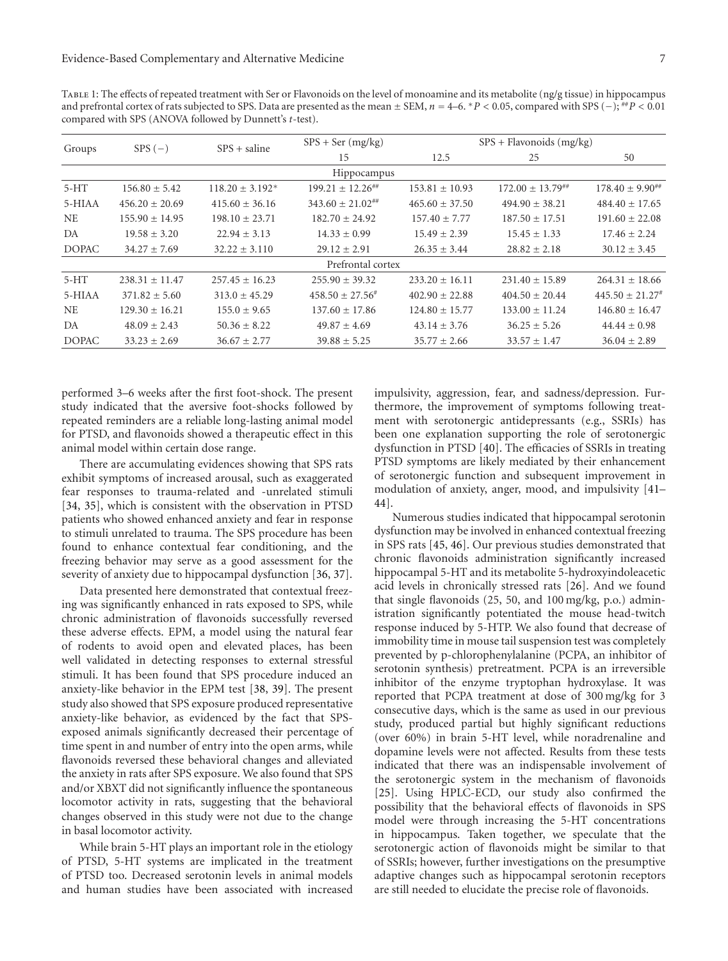<span id="page-6-0"></span>Table 1: The effects of repeated treatment with Ser or Flavonoids on the level of monoamine and its metabolite (ng/g tissue) in hippocampus and prefrontal cortex of rats subjected to SPS. Data are presented as the mean <sup>±</sup> SEM, *<sup>n</sup>* <sup>=</sup> 4–6. <sup>∗</sup>*P <* <sup>0</sup>*.*05, compared with SPS (−); ##*P <* <sup>0</sup>*.*<sup>01</sup> compared with SPS (ANOVA followed by Dunnett's *t*-test).

| Groups       | $SPS(-)$           | $SPS + \text{saline}$ | $SPS + Flavonoids$ (mg/kg)<br>$SPS + Ser(mg/kg)$ |                    |                         |                         |
|--------------|--------------------|-----------------------|--------------------------------------------------|--------------------|-------------------------|-------------------------|
|              |                    |                       | 15                                               | 12.5               | 25                      | 50                      |
|              |                    |                       | Hippocampus                                      |                    |                         |                         |
| $5-HT$       | $156.80 \pm 5.42$  | $118.20 \pm 3.192^*$  | $199.21 \pm 12.26$ <sup>##</sup>                 | $153.81 \pm 10.93$ | $172.00 \pm 13.79^{+4}$ | $178.40 \pm 9.90^{***}$ |
| 5-HIAA       | $456.20 + 20.69$   | $415.60 + 36.16$      | $343.60 + 21.02^{+4}$                            | $465.60 + 37.50$   | $494.90 + 38.21$        | $484.40 \pm 17.65$      |
| <b>NE</b>    | $155.90 \pm 14.95$ | $198.10 \pm 23.71$    | $182.70 \pm 24.92$                               | $157.40 \pm 7.77$  | $187.50 \pm 17.51$      | $191.60 \pm 22.08$      |
| DA           | $19.58 \pm 3.20$   | $22.94 + 3.13$        | $14.33 \pm 0.99$                                 | $15.49 \pm 2.39$   | $15.45 \pm 1.33$        | $17.46 + 2.24$          |
| <b>DOPAC</b> | $34.27 \pm 7.69$   | $32.22 \pm 3.110$     | $29.12 \pm 2.91$                                 | $26.35 \pm 3.44$   | $28.82 \pm 2.18$        | $30.12 \pm 3.45$        |
|              |                    |                       | Prefrontal cortex                                |                    |                         |                         |
| $5-HT$       | $238.31 \pm 11.47$ | $257.45 \pm 16.23$    | $255.90 \pm 39.32$                               | $233.20 \pm 16.11$ | $231.40 \pm 15.89$      | $264.31 \pm 18.66$      |
| 5-HIAA       | $371.82 + 5.60$    | $313.0 + 45.29$       | $458.50 + 27.56^{\#}$                            | $402.90 + 22.88$   | $404.50 + 20.44$        | $445.50 + 21.27$        |
| <b>NE</b>    | $129.30 \pm 16.21$ | $155.0 \pm 9.65$      | $137.60 \pm 17.86$                               | $124.80 \pm 15.77$ | $133.00 \pm 11.24$      | $146.80 \pm 16.47$      |
| DA           | $48.09 + 2.43$     | $50.36 + 8.22$        | $49.87 + 4.69$                                   | $43.14 + 3.76$     | $36.25 + 5.26$          | $44.44 + 0.98$          |
| <b>DOPAC</b> | $33.23 \pm 2.69$   | $36.67 \pm 2.77$      | $39.88 \pm 5.25$                                 | $35.77 \pm 2.66$   | $33.57 \pm 1.47$        | $36.04 \pm 2.89$        |

performed 3–6 weeks after the first foot-shock. The present study indicated that the aversive foot-shocks followed by repeated reminders are a reliable long-lasting animal model for PTSD, and flavonoids showed a therapeutic effect in this animal model within certain dose range.

There are accumulating evidences showing that SPS rats exhibit symptoms of increased arousal, such as exaggerated fear responses to trauma-related and -unrelated stimuli [\[34,](#page-8-15) [35](#page-8-16)], which is consistent with the observation in PTSD patients who showed enhanced anxiety and fear in response to stimuli unrelated to trauma. The SPS procedure has been found to enhance contextual fear conditioning, and the freezing behavior may serve as a good assessment for the severity of anxiety due to hippocampal dysfunction [\[36](#page-8-17), [37\]](#page-8-18).

Data presented here demonstrated that contextual freezing was significantly enhanced in rats exposed to SPS, while chronic administration of flavonoids successfully reversed these adverse effects. EPM, a model using the natural fear of rodents to avoid open and elevated places, has been well validated in detecting responses to external stressful stimuli. It has been found that SPS procedure induced an anxiety-like behavior in the EPM test [\[38,](#page-8-19) [39\]](#page-8-20). The present study also showed that SPS exposure produced representative anxiety-like behavior, as evidenced by the fact that SPSexposed animals significantly decreased their percentage of time spent in and number of entry into the open arms, while flavonoids reversed these behavioral changes and alleviated the anxiety in rats after SPS exposure. We also found that SPS and/or XBXT did not significantly influence the spontaneous locomotor activity in rats, suggesting that the behavioral changes observed in this study were not due to the change in basal locomotor activity.

While brain 5-HT plays an important role in the etiology of PTSD, 5-HT systems are implicated in the treatment of PTSD too. Decreased serotonin levels in animal models and human studies have been associated with increased impulsivity, aggression, fear, and sadness/depression. Furthermore, the improvement of symptoms following treatment with serotonergic antidepressants (e.g., SSRIs) has been one explanation supporting the role of serotonergic dysfunction in PTSD [\[40](#page-9-0)]. The efficacies of SSRIs in treating PTSD symptoms are likely mediated by their enhancement of serotonergic function and subsequent improvement in modulation of anxiety, anger, mood, and impulsivity [\[41–](#page-9-1) [44](#page-9-2)].

Numerous studies indicated that hippocampal serotonin dysfunction may be involved in enhanced contextual freezing in SPS rats [\[45,](#page-9-3) [46](#page-9-4)]. Our previous studies demonstrated that chronic flavonoids administration significantly increased hippocampal 5-HT and its metabolite 5-hydroxyindoleacetic acid levels in chronically stressed rats [\[26\]](#page-8-21). And we found that single flavonoids (25, 50, and 100 mg/kg, p.o.) administration significantly potentiated the mouse head-twitch response induced by 5-HTP. We also found that decrease of immobility time in mouse tail suspension test was completely prevented by p-chlorophenylalanine (PCPA, an inhibitor of serotonin synthesis) pretreatment. PCPA is an irreversible inhibitor of the enzyme tryptophan hydroxylase. It was reported that PCPA treatment at dose of 300 mg/kg for 3 consecutive days, which is the same as used in our previous study, produced partial but highly significant reductions (over 60%) in brain 5-HT level, while noradrenaline and dopamine levels were not affected. Results from these tests indicated that there was an indispensable involvement of the serotonergic system in the mechanism of flavonoids [\[25\]](#page-8-7). Using HPLC-ECD, our study also confirmed the possibility that the behavioral effects of flavonoids in SPS model were through increasing the 5-HT concentrations in hippocampus. Taken together, we speculate that the serotonergic action of flavonoids might be similar to that of SSRIs; however, further investigations on the presumptive adaptive changes such as hippocampal serotonin receptors are still needed to elucidate the precise role of flavonoids.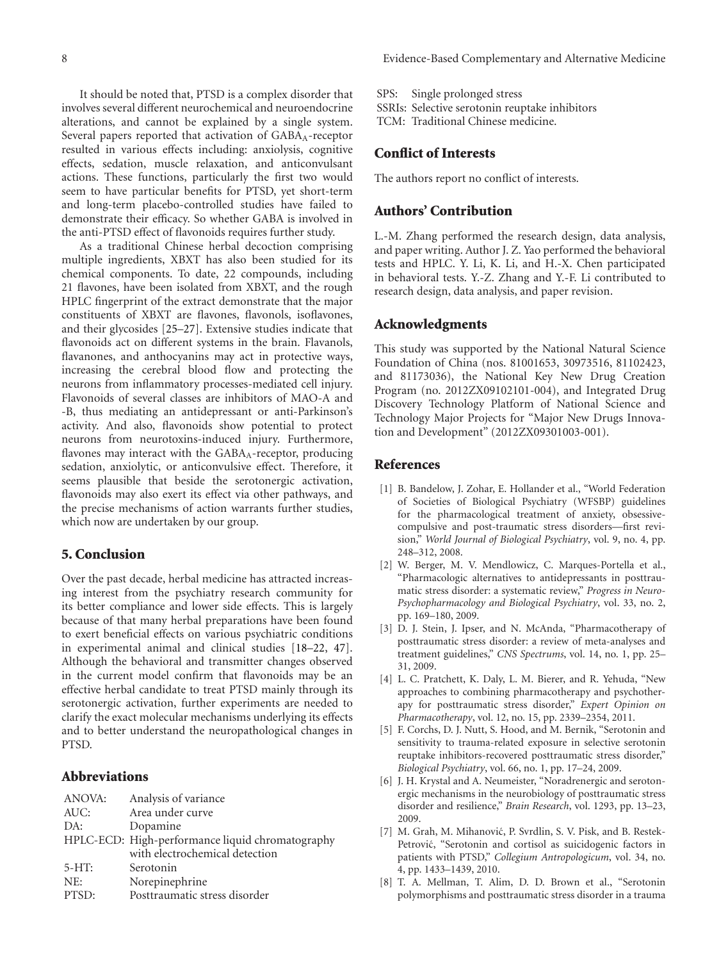It should be noted that, PTSD is a complex disorder that SPS: Single prolonged stress SSRIs: Selective serotonin reuptake inhibitors

TCM: Traditional Chinese medicine.

#### **Conflict of Interests**

The authors report no conflict of interests.

#### **Authors' Contribution**

L.-M. Zhang performed the research design, data analysis, and paper writing. Author J. Z. Yao performed the behavioral tests and HPLC. Y. Li, K. Li, and H.-X. Chen participated in behavioral tests. Y.-Z. Zhang and Y.-F. Li contributed to research design, data analysis, and paper revision.

#### **Acknowledgments**

This study was supported by the National Natural Science Foundation of China (nos. 81001653, 30973516, 81102423, and 81173036), the National Key New Drug Creation Program (no. 2012ZX09102101-004), and Integrated Drug Discovery Technology Platform of National Science and Technology Major Projects for "Major New Drugs Innovation and Development" (2012ZX09301003-001).

#### <span id="page-7-0"></span>**References**

- <span id="page-7-1"></span>[1] B. Bandelow, J. Zohar, E. Hollander et al., "World Federation of Societies of Biological Psychiatry (WFSBP) guidelines for the pharmacological treatment of anxiety, obsessivecompulsive and post-traumatic stress disorders—first revision," *World Journal of Biological Psychiatry*, vol. 9, no. 4, pp. 248–312, 2008.
- [2] W. Berger, M. V. Mendlowicz, C. Marques-Portella et al., "Pharmacologic alternatives to antidepressants in posttraumatic stress disorder: a systematic review," *Progress in Neuro-Psychopharmacology and Biological Psychiatry*, vol. 33, no. 2, pp. 169–180, 2009.
- [3] D. J. Stein, J. Ipser, and N. McAnda, "Pharmacotherapy of posttraumatic stress disorder: a review of meta-analyses and treatment guidelines," *CNS Spectrums*, vol. 14, no. 1, pp. 25– 31, 2009.
- <span id="page-7-2"></span>[4] L. C. Pratchett, K. Daly, L. M. Bierer, and R. Yehuda, "New approaches to combining pharmacotherapy and psychotherapy for posttraumatic stress disorder," *Expert Opinion on Pharmacotherapy*, vol. 12, no. 15, pp. 2339–2354, 2011.
- <span id="page-7-3"></span>[5] F. Corchs, D. J. Nutt, S. Hood, and M. Bernik, "Serotonin and sensitivity to trauma-related exposure in selective serotonin reuptake inhibitors-recovered posttraumatic stress disorder," *Biological Psychiatry*, vol. 66, no. 1, pp. 17–24, 2009.
- [6] J. H. Krystal and A. Neumeister, "Noradrenergic and serotonergic mechanisms in the neurobiology of posttraumatic stress disorder and resilience," *Brain Research*, vol. 1293, pp. 13–23, 2009.
- [7] M. Grah, M. Mihanović, P. Svrdlin, S. V. Pisk, and B. Restek-Petrović, "Serotonin and cortisol as suicidogenic factors in patients with PTSD," *Collegium Antropologicum*, vol. 34, no. 4, pp. 1433–1439, 2010.
- [8] T. A. Mellman, T. Alim, D. D. Brown et al., "Serotonin polymorphisms and posttraumatic stress disorder in a trauma

involves several different neurochemical and neuroendocrine alterations, and cannot be explained by a single system. Several papers reported that activation of GABA<sub>A</sub>-receptor resulted in various effects including: anxiolysis, cognitive effects, sedation, muscle relaxation, and anticonvulsant actions. These functions, particularly the first two would seem to have particular benefits for PTSD, yet short-term and long-term placebo-controlled studies have failed to demonstrate their efficacy. So whether GABA is involved in the anti-PTSD effect of flavonoids requires further study.

As a traditional Chinese herbal decoction comprising multiple ingredients, XBXT has also been studied for its chemical components. To date, 22 compounds, including 21 flavones, have been isolated from XBXT, and the rough HPLC fingerprint of the extract demonstrate that the major constituents of XBXT are flavones, flavonols, isoflavones, and their glycosides [\[25](#page-8-7)[–27\]](#page-8-8). Extensive studies indicate that flavonoids act on different systems in the brain. Flavanols, flavanones, and anthocyanins may act in protective ways, increasing the cerebral blood flow and protecting the neurons from inflammatory processes-mediated cell injury. Flavonoids of several classes are inhibitors of MAO-A and -B, thus mediating an antidepressant or anti-Parkinson's activity. And also, flavonoids show potential to protect neurons from neurotoxins-induced injury. Furthermore, flavones may interact with the GABAA-receptor, producing sedation, anxiolytic, or anticonvulsive effect. Therefore, it seems plausible that beside the serotonergic activation, flavonoids may also exert its effect via other pathways, and the precise mechanisms of action warrants further studies, which now are undertaken by our group.

#### **5. Conclusion**

Over the past decade, herbal medicine has attracted increasing interest from the psychiatry research community for its better compliance and lower side effects. This is largely because of that many herbal preparations have been found to exert beneficial effects on various psychiatric conditions in experimental animal and clinical studies [\[18](#page-8-3)[–22,](#page-8-4) [47\]](#page-9-5). Although the behavioral and transmitter changes observed in the current model confirm that flavonoids may be an effective herbal candidate to treat PTSD mainly through its serotonergic activation, further experiments are needed to clarify the exact molecular mechanisms underlying its effects and to better understand the neuropathological changes in PTSD.

## **Abbreviations**

| Analysis of variance                             |  |
|--------------------------------------------------|--|
| Area under curve                                 |  |
| Dopamine                                         |  |
| HPLC-ECD: High-performance liquid chromatography |  |
| with electrochemical detection                   |  |
| Serotonin                                        |  |
| Norepinephrine                                   |  |
| Posttraumatic stress disorder                    |  |
|                                                  |  |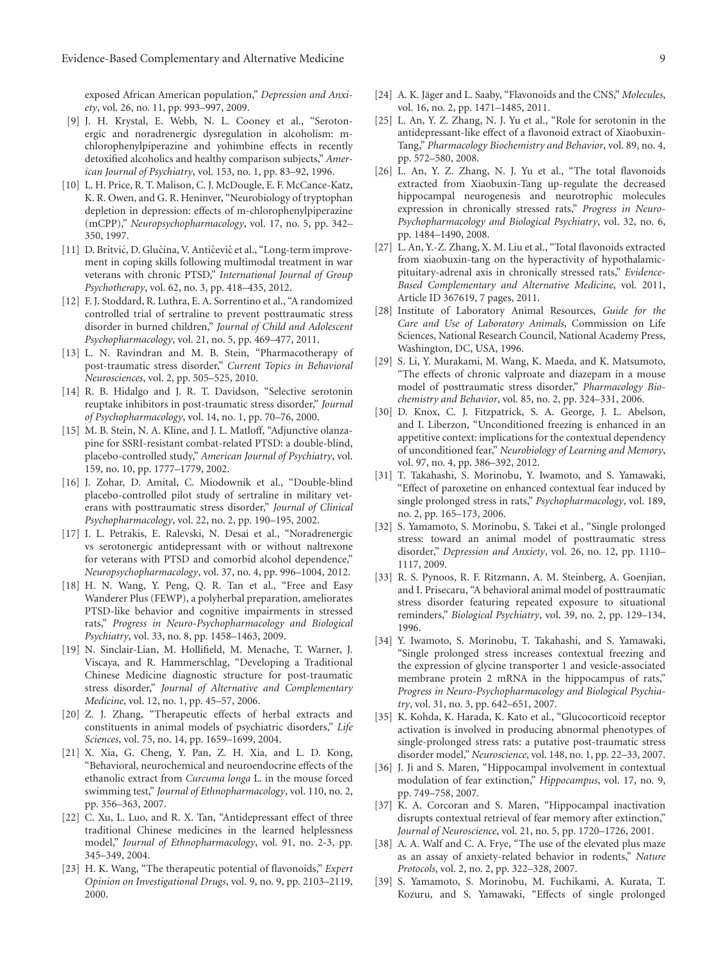exposed African American population," *Depression and Anxiety*, vol. 26, no. 11, pp. 993–997, 2009.

- [9] J. H. Krystal, E. Webb, N. L. Cooney et al., "Serotonergic and noradrenergic dysregulation in alcoholism: mchlorophenylpiperazine and yohimbine effects in recently detoxified alcoholics and healthy comparison subjects," *American Journal of Psychiatry*, vol. 153, no. 1, pp. 83–92, 1996.
- <span id="page-8-0"></span>[10] L. H. Price, R. T. Malison, C. J. McDougle, E. F. McCance-Katz, K. R. Owen, and G. R. Heninver, "Neurobiology of tryptophan depletion in depression: effects of m-chlorophenylpiperazine (mCPP)," *Neuropsychopharmacology*, vol. 17, no. 5, pp. 342– 350, 1997.
- <span id="page-8-1"></span>[11] D. Britvić, D. Glučina, V. Antičevič et al., "Long-term improvement in coping skills following multimodal treatment in war veterans with chronic PTSD," *International Journal of Group Psychotherapy*, vol. 62, no. 3, pp. 418–435, 2012.
- [12] F. J. Stoddard, R. Luthra, E. A. Sorrentino et al., "A randomized controlled trial of sertraline to prevent posttraumatic stress disorder in burned children," *Journal of Child and Adolescent Psychopharmacology*, vol. 21, no. 5, pp. 469–477, 2011.
- [13] L. N. Ravindran and M. B. Stein, "Pharmacotherapy of post-traumatic stress disorder," *Current Topics in Behavioral Neurosciences*, vol. 2, pp. 505–525, 2010.
- [14] R. B. Hidalgo and J. R. T. Davidson, "Selective serotonin reuptake inhibitors in post-traumatic stress disorder," *Journal of Psychopharmacology*, vol. 14, no. 1, pp. 70–76, 2000.
- [15] M. B. Stein, N. A. Kline, and J. L. Matloff, "Adjunctive olanzapine for SSRI-resistant combat-related PTSD: a double-blind, placebo-controlled study," *American Journal of Psychiatry*, vol. 159, no. 10, pp. 1777–1779, 2002.
- [16] J. Zohar, D. Amital, C. Miodownik et al., "Double-blind placebo-controlled pilot study of sertraline in military veterans with posttraumatic stress disorder," *Journal of Clinical Psychopharmacology*, vol. 22, no. 2, pp. 190–195, 2002.
- <span id="page-8-2"></span>[17] I. L. Petrakis, E. Ralevski, N. Desai et al., "Noradrenergic vs serotonergic antidepressant with or without naltrexone for veterans with PTSD and comorbid alcohol dependence," *Neuropsychopharmacology*, vol. 37, no. 4, pp. 996–1004, 2012.
- <span id="page-8-3"></span>[18] H. N. Wang, Y. Peng, Q. R. Tan et al., "Free and Easy Wanderer Plus (FEWP), a polyherbal preparation, ameliorates PTSD-like behavior and cognitive impairments in stressed rats," *Progress in Neuro-Psychopharmacology and Biological Psychiatry*, vol. 33, no. 8, pp. 1458–1463, 2009.
- [19] N. Sinclair-Lian, M. Hollifield, M. Menache, T. Warner, J. Viscaya, and R. Hammerschlag, "Developing a Traditional Chinese Medicine diagnostic structure for post-traumatic stress disorder," *Journal of Alternative and Complementary Medicine*, vol. 12, no. 1, pp. 45–57, 2006.
- [20] Z. J. Zhang, "Therapeutic effects of herbal extracts and constituents in animal models of psychiatric disorders," *Life Sciences*, vol. 75, no. 14, pp. 1659–1699, 2004.
- [21] X. Xia, G. Cheng, Y. Pan, Z. H. Xia, and L. D. Kong, "Behavioral, neurochemical and neuroendocrine effects of the ethanolic extract from *Curcuma longa* L. in the mouse forced swimming test," *Journal of Ethnopharmacology*, vol. 110, no. 2, pp. 356–363, 2007.
- <span id="page-8-4"></span>[22] C. Xu, L. Luo, and R. X. Tan, "Antidepressant effect of three traditional Chinese medicines in the learned helplessness model," *Journal of Ethnopharmacology*, vol. 91, no. 2-3, pp. 345–349, 2004.
- <span id="page-8-5"></span>[23] H. K. Wang, "The therapeutic potential of flavonoids," *Expert Opinion on Investigational Drugs*, vol. 9, no. 9, pp. 2103–2119, 2000.
- <span id="page-8-6"></span>[24] A. K. Jäger and L. Saaby, "Flavonoids and the CNS," Molecules, vol. 16, no. 2, pp. 1471–1485, 2011.
- <span id="page-8-7"></span>[25] L. An, Y. Z. Zhang, N. J. Yu et al., "Role for serotonin in the antidepressant-like effect of a flavonoid extract of Xiaobuxin-Tang," *Pharmacology Biochemistry and Behavior*, vol. 89, no. 4, pp. 572–580, 2008.
- <span id="page-8-21"></span>[26] L. An, Y. Z. Zhang, N. J. Yu et al., "The total flavonoids extracted from Xiaobuxin-Tang up-regulate the decreased hippocampal neurogenesis and neurotrophic molecules expression in chronically stressed rats," *Progress in Neuro-Psychopharmacology and Biological Psychiatry*, vol. 32, no. 6, pp. 1484–1490, 2008.
- <span id="page-8-8"></span>[27] L. An, Y.-Z. Zhang, X. M. Liu et al., "Total flavonoids extracted from xiaobuxin-tang on the hyperactivity of hypothalamicpituitary-adrenal axis in chronically stressed rats," *Evidence-Based Complementary and Alternative Medicine*, vol. 2011, Article ID 367619, 7 pages, 2011.
- <span id="page-8-9"></span>[28] Institute of Laboratory Animal Resources, *Guide for the Care and Use of Laboratory Animals*, Commission on Life Sciences, National Research Council, National Academy Press, Washington, DC, USA, 1996.
- <span id="page-8-10"></span>[29] S. Li, Y. Murakami, M. Wang, K. Maeda, and K. Matsumoto, "The effects of chronic valproate and diazepam in a mouse model of posttraumatic stress disorder," *Pharmacology Biochemistry and Behavior*, vol. 85, no. 2, pp. 324–331, 2006.
- <span id="page-8-11"></span>[30] D. Knox, C. J. Fitzpatrick, S. A. George, J. L. Abelson, and I. Liberzon, "Unconditioned freezing is enhanced in an appetitive context: implications for the contextual dependency of unconditioned fear," *Neurobiology of Learning and Memory*, vol. 97, no. 4, pp. 386–392, 2012.
- <span id="page-8-12"></span>[31] T. Takahashi, S. Morinobu, Y. Iwamoto, and S. Yamawaki, "Effect of paroxetine on enhanced contextual fear induced by single prolonged stress in rats," *Psychopharmacology*, vol. 189, no. 2, pp. 165–173, 2006.
- <span id="page-8-13"></span>[32] S. Yamamoto, S. Morinobu, S. Takei et al., "Single prolonged stress: toward an animal model of posttraumatic stress disorder," *Depression and Anxiety*, vol. 26, no. 12, pp. 1110– 1117, 2009.
- <span id="page-8-14"></span>[33] R. S. Pynoos, R. F. Ritzmann, A. M. Steinberg, A. Goenjian, and I. Prisecaru, "A behavioral animal model of posttraumatic stress disorder featuring repeated exposure to situational reminders," *Biological Psychiatry*, vol. 39, no. 2, pp. 129–134, 1996.
- <span id="page-8-15"></span>[34] Y. Iwamoto, S. Morinobu, T. Takahashi, and S. Yamawaki, "Single prolonged stress increases contextual freezing and the expression of glycine transporter 1 and vesicle-associated membrane protein 2 mRNA in the hippocampus of rats," *Progress in Neuro-Psychopharmacology and Biological Psychiatry*, vol. 31, no. 3, pp. 642–651, 2007.
- <span id="page-8-16"></span>[35] K. Kohda, K. Harada, K. Kato et al., "Glucocorticoid receptor activation is involved in producing abnormal phenotypes of single-prolonged stress rats: a putative post-traumatic stress disorder model," *Neuroscience*, vol. 148, no. 1, pp. 22–33, 2007.
- <span id="page-8-17"></span>[36] J. Ji and S. Maren, "Hippocampal involvement in contextual modulation of fear extinction," *Hippocampus*, vol. 17, no. 9, pp. 749–758, 2007.
- <span id="page-8-18"></span>[37] K. A. Corcoran and S. Maren, "Hippocampal inactivation disrupts contextual retrieval of fear memory after extinction," *Journal of Neuroscience*, vol. 21, no. 5, pp. 1720–1726, 2001.
- <span id="page-8-19"></span>[38] A. A. Walf and C. A. Frye, "The use of the elevated plus maze as an assay of anxiety-related behavior in rodents," *Nature Protocols*, vol. 2, no. 2, pp. 322–328, 2007.
- <span id="page-8-20"></span>[39] S. Yamamoto, S. Morinobu, M. Fuchikami, A. Kurata, T. Kozuru, and S. Yamawaki, "Effects of single prolonged